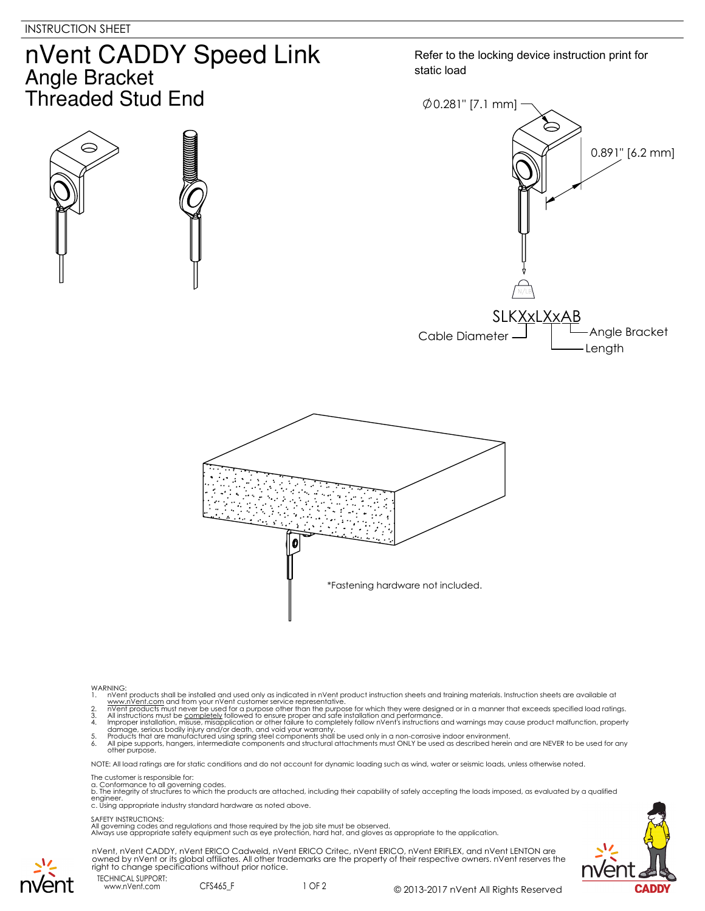$\ominus$ 

## nVent CADDY Speed Link **Angle Bracket** Threaded Stud End

Refer to the locking device instruction print for static load





- 
- 
- WARNING:<br>
1. Note that products shall be installed and used only as indicated in nVent product instruction sheets and training materials. Instruction sheets are available at<br>
1. www.nVent.com and from your nVent customer s
- 
- 

NOTE: All load ratings are for static conditions and do not account for dynamic loading such as wind, water or seismic loads, unless otherwise noted.

The customer is responsible for:

a. Conformance to all governing codes.<br>b. The integrity of structures to which the products are attached, including their capability of safely accepting the loads imposed, as evaluated by a qualified engineer. c. Using appropriate industry standard hardware as noted above.

## SAFETY INSTRUCTIONS:

All governing codes and regulations and those required by the job site must be observed. Always use appropriate safety equipment such as eye protection, hard hat, and gloves as appropriate to the application.



nVent, nVent CADDY, nVent ERICO Cadweld, nVent ERICO Critec, nVent ERICO, nVent ERIFLEX, and nVent LENTON are<br>owned by nVent or its global affiliates. All other trademarks are the property of their respective owners. nVent right to change specifications without prior notice.

TECHNICAL SUPPORT: www.nVent.com CFS465\_F